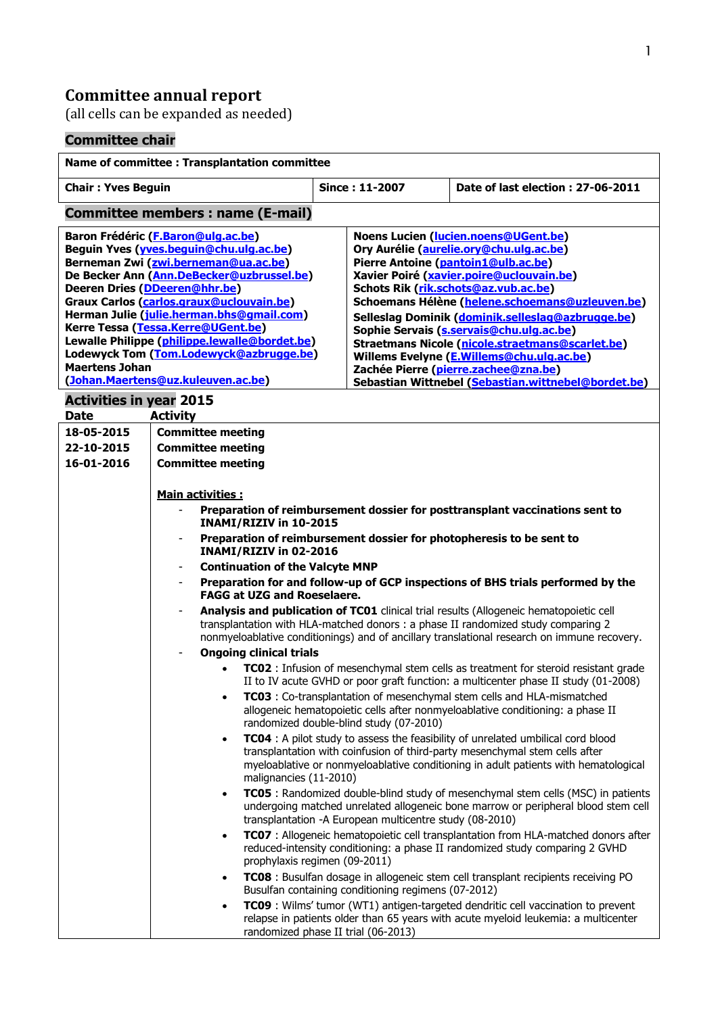## **Committee annual report**

(all cells can be expanded as needed)

# **Committee chair**

| Name of committee : Transplantation committee                                                                                                                                                                                                                                                                                                                                                                                                                                                 |                                                                                                                                                                                                                                                                            |                                                                                                                                                                                                                                                                                  |                                                                                                                                                                                                                                                                                                                                                                                                                                                                                                                                                                |                                                                                                                                                                        |  |
|-----------------------------------------------------------------------------------------------------------------------------------------------------------------------------------------------------------------------------------------------------------------------------------------------------------------------------------------------------------------------------------------------------------------------------------------------------------------------------------------------|----------------------------------------------------------------------------------------------------------------------------------------------------------------------------------------------------------------------------------------------------------------------------|----------------------------------------------------------------------------------------------------------------------------------------------------------------------------------------------------------------------------------------------------------------------------------|----------------------------------------------------------------------------------------------------------------------------------------------------------------------------------------------------------------------------------------------------------------------------------------------------------------------------------------------------------------------------------------------------------------------------------------------------------------------------------------------------------------------------------------------------------------|------------------------------------------------------------------------------------------------------------------------------------------------------------------------|--|
| <b>Chair: Yves Beguin</b>                                                                                                                                                                                                                                                                                                                                                                                                                                                                     |                                                                                                                                                                                                                                                                            | Since: 11-2007                                                                                                                                                                                                                                                                   |                                                                                                                                                                                                                                                                                                                                                                                                                                                                                                                                                                | Date of last election: 27-06-2011                                                                                                                                      |  |
| <b>Committee members: name (E-mail)</b>                                                                                                                                                                                                                                                                                                                                                                                                                                                       |                                                                                                                                                                                                                                                                            |                                                                                                                                                                                                                                                                                  |                                                                                                                                                                                                                                                                                                                                                                                                                                                                                                                                                                |                                                                                                                                                                        |  |
| Baron Frédéric (F.Baron@ulg.ac.be)<br>Beguin Yves (yves.bequin@chu.ulq.ac.be)<br>Berneman Zwi (zwi.berneman@ua.ac.be)<br>De Becker Ann (Ann.DeBecker@uzbrussel.be)<br>Deeren Dries (DDeeren@hhr.be)<br>Graux Carlos (carlos.graux@uclouvain.be)<br>Herman Julie (julie.herman.bhs@gmail.com)<br>Kerre Tessa (Tessa.Kerre@UGent.be)<br>Lewalle Philippe (philippe.lewalle@bordet.be)<br>Lodewyck Tom (Tom.Lodewyck@azbrugge.be)<br><b>Maertens Johan</b><br>(Johan.Maertens@uz.kuleuven.ac.be) |                                                                                                                                                                                                                                                                            |                                                                                                                                                                                                                                                                                  | Noens Lucien (Iucien.noens@UGent.be)<br>Ory Aurélie (aurelie.ory@chu.ulg.ac.be)<br>Pierre Antoine (pantoin1@ulb.ac.be)<br>Xavier Poiré (xavier.poire@uclouvain.be)<br>Schots Rik (rik.schots@az.vub.ac.be)<br>Schoemans Hélène (helene.schoemans@uzleuven.be)<br>Selleslag Dominik (dominik.selleslag@azbrugge.be)<br>Sophie Servais (s.servais@chu.ulg.ac.be)<br>Straetmans Nicole (nicole.straetmans@scarlet.be)<br>Willems Evelyne (E.Willems@chu.ulg.ac.be)<br>Zachée Pierre (pierre.zachee@zna.be)<br>Sebastian Wittnebel (Sebastian.wittnebel@bordet.be) |                                                                                                                                                                        |  |
| <b>Activities in year 2015</b><br><b>Activity</b><br><b>Date</b>                                                                                                                                                                                                                                                                                                                                                                                                                              |                                                                                                                                                                                                                                                                            |                                                                                                                                                                                                                                                                                  |                                                                                                                                                                                                                                                                                                                                                                                                                                                                                                                                                                |                                                                                                                                                                        |  |
| 18-05-2015<br>22-10-2015<br>16-01-2016                                                                                                                                                                                                                                                                                                                                                                                                                                                        | <b>Committee meeting</b><br><b>Committee meeting</b><br><b>Committee meeting</b>                                                                                                                                                                                           |                                                                                                                                                                                                                                                                                  |                                                                                                                                                                                                                                                                                                                                                                                                                                                                                                                                                                |                                                                                                                                                                        |  |
|                                                                                                                                                                                                                                                                                                                                                                                                                                                                                               | Main activities :<br>Preparation of reimbursement dossier for posttransplant vaccinations sent to                                                                                                                                                                          |                                                                                                                                                                                                                                                                                  |                                                                                                                                                                                                                                                                                                                                                                                                                                                                                                                                                                |                                                                                                                                                                        |  |
|                                                                                                                                                                                                                                                                                                                                                                                                                                                                                               | INAMI/RIZIV in 10-2015                                                                                                                                                                                                                                                     |                                                                                                                                                                                                                                                                                  |                                                                                                                                                                                                                                                                                                                                                                                                                                                                                                                                                                |                                                                                                                                                                        |  |
|                                                                                                                                                                                                                                                                                                                                                                                                                                                                                               | Preparation of reimbursement dossier for photopheresis to be sent to<br>INAMI/RIZIV in 02-2016                                                                                                                                                                             |                                                                                                                                                                                                                                                                                  |                                                                                                                                                                                                                                                                                                                                                                                                                                                                                                                                                                |                                                                                                                                                                        |  |
|                                                                                                                                                                                                                                                                                                                                                                                                                                                                                               | <b>Continuation of the Valcyte MNP</b>                                                                                                                                                                                                                                     |                                                                                                                                                                                                                                                                                  |                                                                                                                                                                                                                                                                                                                                                                                                                                                                                                                                                                |                                                                                                                                                                        |  |
|                                                                                                                                                                                                                                                                                                                                                                                                                                                                                               | Preparation for and follow-up of GCP inspections of BHS trials performed by the<br><b>FAGG at UZG and Roeselaere.</b>                                                                                                                                                      |                                                                                                                                                                                                                                                                                  |                                                                                                                                                                                                                                                                                                                                                                                                                                                                                                                                                                |                                                                                                                                                                        |  |
|                                                                                                                                                                                                                                                                                                                                                                                                                                                                                               | Analysis and publication of TC01 clinical trial results (Allogeneic hematopoietic cell<br>transplantation with HLA-matched donors : a phase II randomized study comparing 2<br>nonmyeloablative conditionings) and of ancillary translational research on immune recovery. |                                                                                                                                                                                                                                                                                  |                                                                                                                                                                                                                                                                                                                                                                                                                                                                                                                                                                |                                                                                                                                                                        |  |
|                                                                                                                                                                                                                                                                                                                                                                                                                                                                                               | <b>Ongoing clinical trials</b>                                                                                                                                                                                                                                             |                                                                                                                                                                                                                                                                                  |                                                                                                                                                                                                                                                                                                                                                                                                                                                                                                                                                                |                                                                                                                                                                        |  |
|                                                                                                                                                                                                                                                                                                                                                                                                                                                                                               |                                                                                                                                                                                                                                                                            | <b>TC02</b> : Infusion of mesenchymal stem cells as treatment for steroid resistant grade<br>II to IV acute GVHD or poor graft function: a multicenter phase II study (01-2008)                                                                                                  |                                                                                                                                                                                                                                                                                                                                                                                                                                                                                                                                                                |                                                                                                                                                                        |  |
|                                                                                                                                                                                                                                                                                                                                                                                                                                                                                               |                                                                                                                                                                                                                                                                            | TC03 : Co-transplantation of mesenchymal stem cells and HLA-mismatched<br>allogeneic hematopoietic cells after nonmyeloablative conditioning: a phase II<br>randomized double-blind study (07-2010)                                                                              |                                                                                                                                                                                                                                                                                                                                                                                                                                                                                                                                                                |                                                                                                                                                                        |  |
|                                                                                                                                                                                                                                                                                                                                                                                                                                                                                               | $\bullet$                                                                                                                                                                                                                                                                  | TC04 : A pilot study to assess the feasibility of unrelated umbilical cord blood<br>transplantation with coinfusion of third-party mesenchymal stem cells after<br>myeloablative or nonmyeloablative conditioning in adult patients with hematological<br>malignancies (11-2010) |                                                                                                                                                                                                                                                                                                                                                                                                                                                                                                                                                                |                                                                                                                                                                        |  |
|                                                                                                                                                                                                                                                                                                                                                                                                                                                                                               | $\bullet$<br>transplantation - A European multicentre study (08-2010)                                                                                                                                                                                                      |                                                                                                                                                                                                                                                                                  |                                                                                                                                                                                                                                                                                                                                                                                                                                                                                                                                                                | TC05 : Randomized double-blind study of mesenchymal stem cells (MSC) in patients<br>undergoing matched unrelated allogeneic bone marrow or peripheral blood stem cell  |  |
|                                                                                                                                                                                                                                                                                                                                                                                                                                                                                               | $\bullet$<br>prophylaxis regimen (09-2011)                                                                                                                                                                                                                                 |                                                                                                                                                                                                                                                                                  |                                                                                                                                                                                                                                                                                                                                                                                                                                                                                                                                                                | TC07 : Allogeneic hematopoietic cell transplantation from HLA-matched donors after<br>reduced-intensity conditioning: a phase II randomized study comparing 2 GVHD     |  |
|                                                                                                                                                                                                                                                                                                                                                                                                                                                                                               | $\bullet$<br>Busulfan containing conditioning regimens (07-2012)                                                                                                                                                                                                           |                                                                                                                                                                                                                                                                                  |                                                                                                                                                                                                                                                                                                                                                                                                                                                                                                                                                                | TC08 : Busulfan dosage in allogeneic stem cell transplant recipients receiving PO                                                                                      |  |
|                                                                                                                                                                                                                                                                                                                                                                                                                                                                                               | $\bullet$<br>randomized phase II trial (06-2013)                                                                                                                                                                                                                           |                                                                                                                                                                                                                                                                                  |                                                                                                                                                                                                                                                                                                                                                                                                                                                                                                                                                                | TC09 : Wilms' tumor (WT1) antigen-targeted dendritic cell vaccination to prevent<br>relapse in patients older than 65 years with acute myeloid leukemia: a multicenter |  |